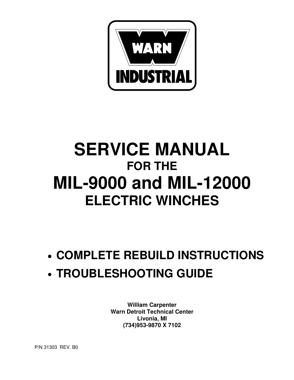

# **SERVICE MANUAL FOR THE MIL-9000 and MIL-12000 ELECTRIC WINCHES**

- **COMPLETE REBUILD INSTRUCTIONS**
- **TROUBLESHOOTING GUIDE**

**William Carpenter Warn Detroit Technical Center Livonia, MI (734)953-9870 X 7102**

P/N 31303 REV. B0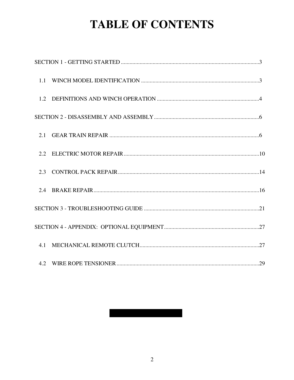# **TABLE OF CONTENTS**

#### $\overline{2}$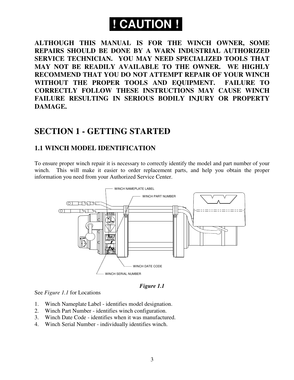# **! CAUTION !**

**ALTHOUGH THIS MANUAL IS FOR THE WINCH OWNER, SOME REPAIRS SHOULD BE DONE BY A WARN INDUSTRIAL AUTHORIZED SERVICE TECHNICIAN. YOU MAY NEED SPECIALIZED TOOLS THAT MAY NOT BE READILY AVAILABLE TO THE OWNER. WE HIGHLY RECOMMEND THAT YOU DO NOT ATTEMPT REPAIR OF YOUR WINCH WITHOUT THE PROPER TOOLS AND EQUIPMENT. FAILURE TO CORRECTLY FOLLOW THESE INSTRUCTIONS MAY CAUSE WINCH FAILURE RESULTING IN SERIOUS BODILY INJURY OR PROPERTY DAMAGE.**

# **SECTION 1 - GETTING STARTED**

## **1.1 WINCH MODEL IDENTIFICATION**

To ensure proper winch repair it is necessary to correctly identify the model and part number of your winch. This will make it easier to order replacement parts, and help you obtain the proper information you need from your Authorized Service Center.



*Figure 1.1*

See *Figure 1.1* for Locations

- 1. Winch Nameplate Label identifies model designation.
- 2. Winch Part Number identifies winch configuration.
- 3. Winch Date Code identifies when it was manufactured.
- 4. Winch Serial Number individually identifies winch.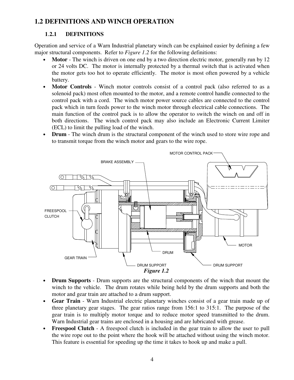## **1.2 DEFINITIONS AND WINCH OPERATION**

#### **1**.**2.1 DEFINITIONS**

Operation and service of a Warn Industrial planetary winch can be explained easier by defining a few major structural components. Refer to *Figure 1.2* for the following definitions:

- **Motor** The winch is driven on one end by a two direction electric motor, generally run by 12 or 24 volts DC. The motor is internally protected by a thermal switch that is activated when the motor gets too hot to operate efficiently. The motor is most often powered by a vehicle battery.
- **Motor Controls** Winch motor controls consist of a control pack (also referred to as a solenoid pack) most often mounted to the motor, and a remote control handle connected to the control pack with a cord. The winch motor power source cables are connected to the control pack which in turn feeds power to the winch motor through electrical cable connections. The main function of the control pack is to allow the operator to switch the winch on and off in both directions. The winch control pack may also include an Electronic Current Limiter (ECL) to limit the pulling load of the winch.
- **Drum** The winch drum is the structural component of the winch used to store wire rope and to transmit torque from the winch motor and gears to the wire rope.



- **Drum Supports** Drum supports are the structural components of the winch that mount the winch to the vehicle. The drum rotates while being held by the drum supports and both the motor and gear train are attached to a drum support.
- **Gear Train** Warn Industrial electric planetary winches consist of a gear train made up of three planetary gear stages. The gear ratios range from 156:1 to 315:1. The purpose of the gear train is to multiply motor torque and to reduce motor speed transmitted to the drum. Warn Industrial gear trains are enclosed in a housing and are lubricated with grease.
- **Freespool Clutch** A freespool clutch is included in the gear train to allow the user to pull the wire rope out to the point where the hook will be attached without using the winch motor. This feature is essential for speeding up the time it takes to hook up and make a pull.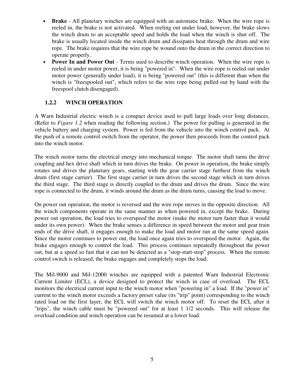- **Brake** All planetary winches are equipped with an automatic brake. When the wire rope is reeled in, the brake is not activated. When reeling out under load, however, the brake slows the winch drum to an acceptable speed and holds the load when the winch is shut off. The brake is usually located inside the winch drum and dissipates heat through the drum and wire rope. The brake requires that the wire rope be wound onto the drum in the correct direction to operate properly.
- **Power In and Power Out** Terms used to describe winch operation. When the wire rope is reeled in under motor power, it is being "powered in". When the wire rope is reeled out under motor power (generally under load), it is being "powered out" (this is different than when the winch is "freespooled out", which refers to the wire rope being pulled out by hand with the freespool clutch disengaged).

#### **1.2.2 WINCH OPERATION**

A Warn Industrial electric winch is a compact device used to pull large loads over long distances. (Refer to *Figure 1.2* when reading the following section.) The power for pulling is generated in the vehicle battery and charging system. Power is fed from the vehicle into the winch control pack. At the push of a remote control switch from the operator, the power then proceeds from the control pack into the winch motor.

The winch motor turns the electrical energy into mechanical torque. The motor shaft turns the drive coupling and hex drive shaft which in turn drives the brake. On power in operation, the brake simply rotates and drives the planetary gears, starting with the gear carrier stage furthest from the winch drum (first stage carrier). The first stage carrier in turn drives the second stage which in turn drives the third stage. The third stage is directly coupled to the drum and drives the drum. Since the wire rope is connected to the drum, it winds around the drum as the drum turns, causing the load to move.

On power out operation, the motor is reversed and the wire rope moves in the opposite direction. All the winch components operate in the same manner as when powered in, except the brake. During power out operation, the load tries to overspeed the motor (make the motor turn faster than it would under its own power). When the brake senses a difference in speed between the motor and gear train ends of the drive shaft, it engages enough to make the load and motor run at the same speed again. Since the motor continues to power out, the load once again tries to overspeed the motor. Again, the brake engages enough to control the load. This process continues repeatedly throughout the power out, but at a speed so fast that it can not be detected as a "stop-start-stop" process. When the remote control switch is released, the brake engages and completely stops the load.

The Mil-9000 and Mil-12000 winches are equipped with a patented Warn Industrial Electronic Current Limiter (ECL), a device designed to protect the winch in case of overload. The ECL monitors the electrical current input to the winch motor when "powering in" a load. If the "power in" current to the winch motor exceeds a factory preset value (its "trip" point) corresponding to the winch rated load on the first layer, the ECL will switch the winch motor off. To reset the ECL after it "trips", the winch cable must be "powered out" for at least 1 1/2 seconds. This will release the overload condition and winch operation can be resumed at a lower load.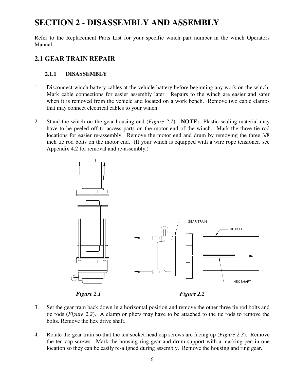# **SECTION 2 - DISASSEMBLY AND ASSEMBLY**

Refer to the Replacement Parts List for your specific winch part number in the winch Operators Manual.

# **2.1 GEAR TRAIN REPAIR**

## **2.1.1 DISASSEMBLY**

- 1. Disconnect winch battery cables at the vehicle battery before beginning any work on the winch. Mark cable connections for easier assembly later. Repairs to the winch are easier and safer when it is removed from the vehicle and located on a work bench. Remove two cable clamps that may connect electrical cables to your winch.
- 2. Stand the winch on the gear housing end (*Figure 2.1*). **NOTE:** Plastic sealing material may have to be peeled off to access parts on the motor end of the winch. Mark the three tie rod locations for easier re-assembly. Remove the motor end and drum by removing the three 3/8 inch tie rod bolts on the motor end. (If your winch is equipped with a wire rope tensioner, see Appendix 4.2 for removal and re-assembly.)



- 3. Set the gear train back down in a horizontal position and remove the other three tie rod bolts and tie rods (*Figure 2.2*). A clamp or pliers may have to be attached to the tie rods to remove the bolts. Remove the hex drive shaft.
	- 4. Rotate the gear train so that the ten socket head cap screws are facing up (*Figure 2.3*). Remove the ten cap screws. Mark the housing ring gear and drum support with a marking pen in one location so they can be easily re-aligned during assembly. Remove the housing and ring gear.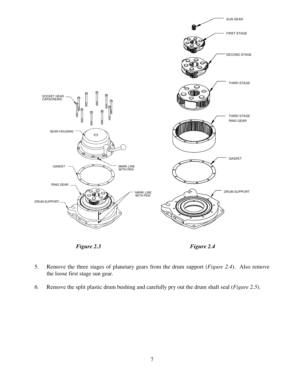

- 5. Remove the three stages of planetary gears from the drum support (*Figure 2.4*). Also remove the loose first stage sun gear.
- 6. Remove the split plastic drum bushing and carefully pry out the drum shaft seal (*Figure 2.5*).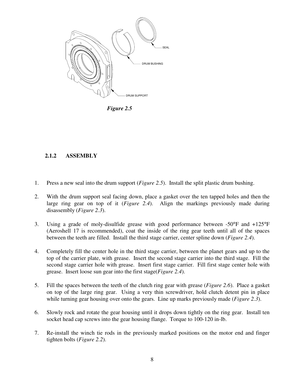

*Figure 2.5*

#### **2.1.2 ASSEMBLY**

- 1. Press a new seal into the drum support (*Figure 2.5*). Install the split plastic drum bushing.
- 2. With the drum support seal facing down, place a gasket over the ten tapped holes and then the large ring gear on top of it (*Figure 2.4*). Align the markings previously made during disassembly (*Figure 2.3*).
- 3. Using a grade of moly-disulfide grease with good performance between -50°F and +125°F (Aeroshell 17 is recommended), coat the inside of the ring gear teeth until all of the spaces between the teeth are filled. Install the third stage carrier, center spline down (*Figure 2.4*).
- 4. Completely fill the center hole in the third stage carrier, between the planet gears and up to the top of the carrier plate, with grease. Insert the second stage carrier into the third stage. Fill the second stage carrier hole with grease. Insert first stage carrier. Fill first stage center hole with grease. Insert loose sun gear into the first stage(*Figure 2.4*).
- 5. Fill the spaces between the teeth of the clutch ring gear with grease (*Figure 2.6*). Place a gasket on top of the large ring gear. Using a very thin screwdriver, hold clutch detent pin in place while turning gear housing over onto the gears. Line up marks previously made (*Figure 2.3*).
- 6. Slowly rock and rotate the gear housing until it drops down tightly on the ring gear. Install ten socket head cap screws into the gear housing flange. Torque to 100-120 in-lb.
- 7. Re-install the winch tie rods in the previously marked positions on the motor end and finger tighten bolts (*Figure 2.2*).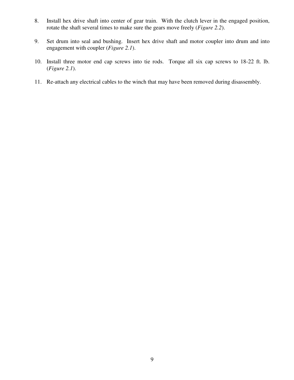- 8. Install hex drive shaft into center of gear train. With the clutch lever in the engaged position, rotate the shaft several times to make sure the gears move freely (*Figure 2.2*).
- 9. Set drum into seal and bushing. Insert hex drive shaft and motor coupler into drum and into engagement with coupler (*Figure 2.1*).
- 10. Install three motor end cap screws into tie rods. Torque all six cap screws to 18-22 ft. lb. (*Figure 2.1*).
- 11. Re-attach any electrical cables to the winch that may have been removed during disassembly.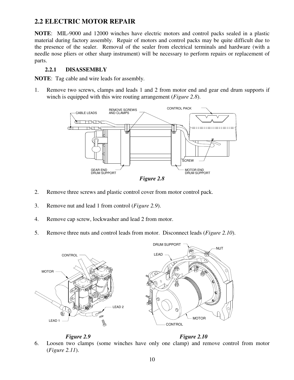## **2.2 ELECTRIC MOTOR REPAIR**

**NOTE**: MIL-9000 and 12000 winches have electric motors and control packs sealed in a plastic material during factory assembly. Repair of motors and control packs may be quite difficult due to the presence of the sealer. Removal of the sealer from electrical terminals and hardware (with a needle nose pliers or other sharp instrument) will be necessary to perform repairs or replacement of parts.

#### **2.2.1 DISASSEMBLY**

**NOTE**: Tag cable and wire leads for assembly.

1. Remove two screws, clamps and leads 1 and 2 from motor end and gear end drum supports if winch is equipped with this wire routing arrangement (*Figure 2.8*).



*Figure 2.8*

- 2. Remove three screws and plastic control cover from motor control pack.
- 3. Remove nut and lead 1 from control (*Figure 2.9*).
- 4. Remove cap screw, lockwasher and lead 2 from motor.
- 5. Remove three nuts and control leads from motor. Disconnect leads (*Figure 2.10*).



*Figure 2.9 Figure 2.10*

6. Loosen two clamps (some winches have only one clamp) and remove control from motor (*Figure 2.11*).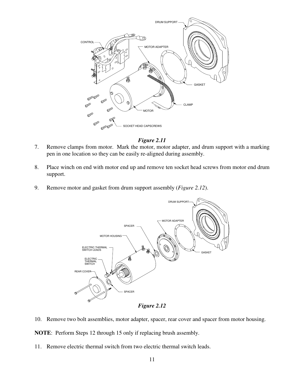

#### *Figure 2.11*

- 7. Remove clamps from motor. Mark the motor, motor adapter, and drum support with a marking pen in one location so they can be easily re-aligned during assembly.
- 8. Place winch on end with motor end up and remove ten socket head screws from motor end drum support.
- 9. Remove motor and gasket from drum support assembly (*Figure 2.12*).



*Figure 2.12*

10. Remove two bolt assemblies, motor adapter, spacer, rear cover and spacer from motor housing.

**NOTE**: Perform Steps 12 through 15 only if replacing brush assembly.

11. Remove electric thermal switch from two electric thermal switch leads.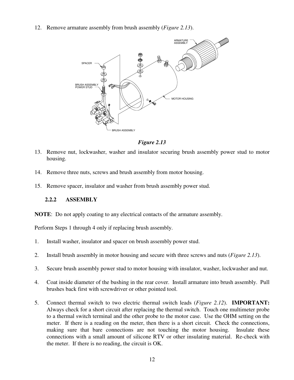12. Remove armature assembly from brush assembly (*Figure 2.13*).



*Figure 2.13*

- 13. Remove nut, lockwasher, washer and insulator securing brush assembly power stud to motor housing.
- 14. Remove three nuts, screws and brush assembly from motor housing.
- 15. Remove spacer, insulator and washer from brush assembly power stud.

#### **2.2.2 ASSEMBLY**

**NOTE**: Do not apply coating to any electrical contacts of the armature assembly.

Perform Steps 1 through 4 only if replacing brush assembly.

- 1. Install washer, insulator and spacer on brush assembly power stud.
- 2. Install brush assembly in motor housing and secure with three screws and nuts (*Figure 2.13*).
- 3. Secure brush assembly power stud to motor housing with insulator, washer, lockwasher and nut.
- 4. Coat inside diameter of the bushing in the rear cover. Install armature into brush assembly. Pull brushes back first with screwdriver or other pointed tool.
- 5. Connect thermal switch to two electric thermal switch leads (*Figure 2.12*). **IMPORTANT:** Always check for a short circuit after replacing the thermal switch. Touch one multimeter probe to a thermal switch terminal and the other probe to the motor case. Use the OHM setting on the meter. If there is a reading on the meter, then there is a short circuit. Check the connections, making sure that bare connections are not touching the motor housing. Insulate these connections with a small amount of silicone RTV or other insulating material. Re-check with the meter. If there is no reading, the circuit is OK.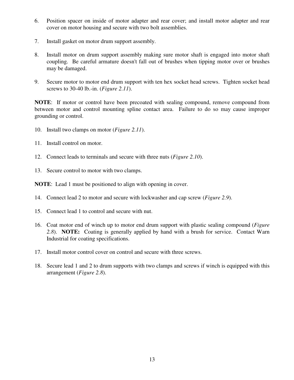- 6. Position spacer on inside of motor adapter and rear cover; and install motor adapter and rear cover on motor housing and secure with two bolt assemblies.
- 7. Install gasket on motor drum support assembly.
- 8. Install motor on drum support assembly making sure motor shaft is engaged into motor shaft coupling. Be careful armature doesn't fall out of brushes when tipping motor over or brushes may be damaged.
- 9. Secure motor to motor end drum support with ten hex socket head screws. Tighten socket head screws to 30-40 lb.-in. (*Figure 2.11*).

**NOTE**: If motor or control have been precoated with sealing compound, remove compound from between motor and control mounting spline contact area. Failure to do so may cause improper grounding or control.

- 10. Install two clamps on motor (*Figure 2.11*).
- 11. Install control on motor.
- 12. Connect leads to terminals and secure with three nuts (*Figure 2.10*).
- 13. Secure control to motor with two clamps.

**NOTE**: Lead 1 must be positioned to align with opening in cover.

- 14. Connect lead 2 to motor and secure with lockwasher and cap screw (*Figure 2.9*).
- 15. Connect lead 1 to control and secure with nut.
- 16. Coat motor end of winch up to motor end drum support with plastic sealing compound (*Figure 2.8*). **NOTE:** Coating is generally applied by hand with a brush for service. Contact Warn Industrial for coating specifications.
- 17. Install motor control cover on control and secure with three screws.
- 18. Secure lead 1 and 2 to drum supports with two clamps and screws if winch is equipped with this arrangement (*Figure 2.8*).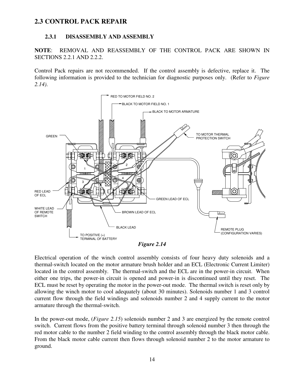## **2.3 CONTROL PACK REPAIR**

#### **2.3.1 DISASSEMBLY AND ASSEMBLY**

**NOTE**: REMOVAL AND REASSEMBLY OF THE CONTROL PACK ARE SHOWN IN SECTIONS 2.2.1 AND 2.2.2.

Control Pack repairs are not recommended. If the control assembly is defective, replace it. The following information is provided to the technician for diagnostic purposes only. (Refer to *Figure 2.14)*.



*Figure 2.14*

Electrical operation of the winch control assembly consists of four heavy duty solenoids and a thermal-switch located on the motor armature brush holder and an ECL (Electronic Current Limiter) located in the control assembly. The thermal-switch and the ECL are in the power-in circuit. When either one trips, the power-in circuit is opened and power-in is discontinued until they reset. The ECL must be reset by operating the motor in the power-out mode. The thermal switch is reset only by allowing the winch motor to cool adequately (about 30 minutes). Solenoids number 1 and 3 control current flow through the field windings and solenoids number 2 and 4 supply current to the motor armature through the thermal-switch.

In the power-out mode, (*Figure 2.15*) solenoids number 2 and 3 are energized by the remote control switch. Current flows from the positive battery terminal through solenoid number 3 then through the red motor cable to the number 2 field winding to the control assembly through the black motor cable. From the black motor cable current then flows through solenoid number 2 to the motor armature to ground.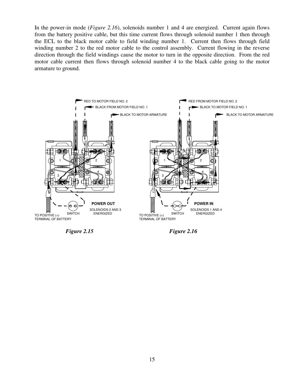In the power-in mode (*Figure 2.16*), solenoids number 1 and 4 are energized. Current again flows from the battery positive cable, but this time current flows through solenoid number 1 then through the ECL to the black motor cable to field winding number 1. Current then flows through field winding number 2 to the red motor cable to the control assembly. Current flowing in the reverse direction through the field windings cause the motor to turn in the opposite direction. From the red motor cable current then flows through solenoid number 4 to the black cable going to the motor armature to ground.



*Figure 2.15 Figure 2.16*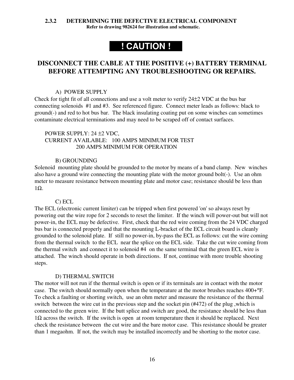#### **2.3.2 DETERMINING THE DEFECTIVE ELECTRICAL COMPONENT**

**Refer to drawing 982624 for illustration and schematic.**

# **! CAUTION !**

## **DISCONNECT THE CABLE AT THE POSITIVE (+) BATTERY TERMINAL BEFORE ATTEMPTING ANY TROUBLESHOOTING OR REPAIRS.**

#### A) POWER SUPPLY

Check for tight fit of all connections and use a volt meter to verify 24±2 VDC at the bus bar connecting solenoids #1 and #3. See referenced figure. Connect meter leads as follows: black to ground(-) and red to hot bus bar. The black insulating coating put on some winches can sometimes contaminate electrical terminations and may need to be scraped off of contact surfaces.

#### POWER SUPPLY: 24 ±2 VDC, CURRENT AVAILABLE: 100 AMPS MINIMUM FOR TEST 200 AMPS MINIMUM FOR OPERATION

#### B) GROUNDING

Solenoid mounting plate should be grounded to the motor by means of a band clamp. New winches also have a ground wire connecting the mounting plate with the motor ground bolt(-). Use an ohm meter to measure resistance between mounting plate and motor case; resistance should be less than 1Ω.

#### C) ECL

The ECL (electronic current limiter) can be tripped when first powered 'on' so always reset by powering out the wire rope for 2 seconds to reset the limiter. If the winch will power-out but will not power-in, the ECL may be defective. First, check that the red wire coming from the 24 VDC charged bus bar is connected properly and that the mounting L-bracket of the ECL circuit board is cleanly grounded to the solenoid plate. If still no power-in, by-pass the ECL as follows: cut the wire coming from the thermal switch to the ECL near the splice on the ECL side. Take the cut wire coming from the thermal switch and connect it to solenoid #4 on the same terminal that the green ECL wire is attached. The winch should operate in both directions. If not, continue with more trouble shooting steps.

#### D) THERMAL SWITCH

The motor will not run if the thermal switch is open or if its terminals are in contact with the motor case. The switch should normally open when the temperature at the motor brushes reaches 400+°F. To check a faulting or shorting switch, use an ohm meter and measure the resistance of the thermal switch between the wire cut in the previous step and the socket pin (#472) of the plug ,which is connected to the green wire. If the butt splice and switch are good, the resistance should be less than  $1\Omega$  across the switch. If the switch is open at room temperature then it should be replaced. Next check the resistance between the cut wire and the bare motor case. This resistance should be greater than 1 megaohm. If not, the switch may be installed incorrectly and be shorting to the motor case.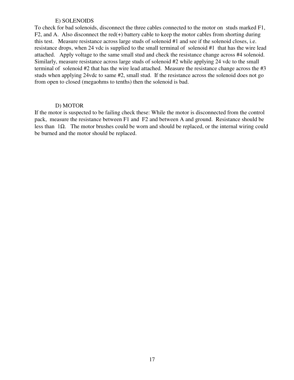#### E) SOLENOIDS

To check for bad solenoids, disconnect the three cables connected to the motor on studs marked F1, F2, and A. Also disconnect the red(+) battery cable to keep the motor cables from shorting during this test. Measure resistance across large studs of solenoid #1 and see if the solenoid closes, i.e. resistance drops, when 24 vdc is supplied to the small terminal of solenoid #1 that has the wire lead attached. Apply voltage to the same small stud and check the resistance change across #4 solenoid. Similarly, measure resistance across large studs of solenoid #2 while applying 24 vdc to the small terminal of solenoid #2 that has the wire lead attached. Measure the resistance change across the #3 studs when applying 24vdc to same #2, small stud. If the resistance across the solenoid does not go from open to closed (megaohms to tenths) then the solenoid is bad.

#### D) MOTOR

If the motor is suspected to be failing check these: While the motor is disconnected from the control pack, measure the resistance between F1 and F2 and between A and ground. Resistance should be less than 1Ω. The motor brushes could be worn and should be replaced, or the internal wiring could be burned and the motor should be replaced.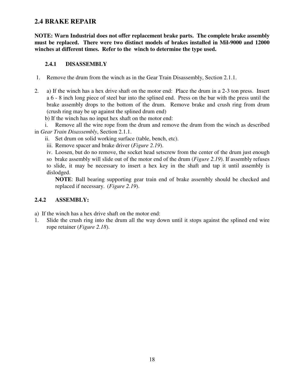### **2.4 BRAKE REPAIR**

**NOTE: Warn Industrial does not offer replacement brake parts. The complete brake assembly must be replaced. There were two distinct models of brakes installed in Mil-9000 and 12000 winches at different times. Refer to the winch to determine the type used.**

#### **2.4.1 DISASSEMBLY**

- 1. Remove the drum from the winch as in the Gear Train Disassembly, Section 2.1.1.
- 2. a) If the winch has a hex drive shaft on the motor end: Place the drum in a 2-3 ton press. Insert a 6 - 8 inch long piece of steel bar into the splined end. Press on the bar with the press until the brake assembly drops to the bottom of the drum. Remove brake and crush ring from drum (crush ring may be up against the splined drum end)

b) If the winch has no input hex shaft on the motor end:

i. Remove all the wire rope from the drum and remove the drum from the winch as described in *Gear Train Disassembly*, Section 2.1.1.

- ii. Set drum on solid working surface (table, bench, etc).
- iii. Remove spacer and brake driver (*Figure 2.19*).
- iv. Loosen, but do no remove, the socket head setscrew from the center of the drum just enough

so brake assembly will slide out of the motor end of the drum (*Figure 2.19*). If assembly refuses to slide, it may be necessary to insert a hex key in the shaft and tap it until assembly is dislodged.

**NOTE**: Ball bearing supporting gear train end of brake assembly should be checked and replaced if necessary. (*Figure 2.19*).

#### **2.4.2 ASSEMBLY:**

a) If the winch has a hex drive shaft on the motor end:

1. Slide the crush ring into the drum all the way down until it stops against the splined end wire rope retainer (*Figure 2.18*).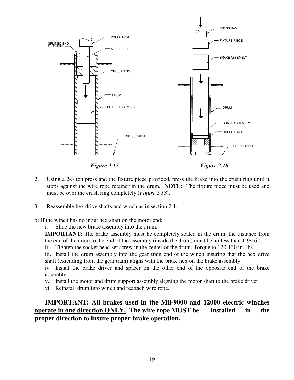

*Figure 2.17 Figure 2.18*

- 2. Using a 2-3 ton press and the fixture piece provided, press the brake into the crush ring until it stops against the wire rope retainer in the drum. **NOTE**: The fixture piece must be used and must be over the crush ring completely (*Figure 2.18*).
- 3. Reassemble hex drive shafts and winch as in section 2.1.

b) If the winch has no input hex shaft on the motor end:

i. Slide the new brake assembly into the drum.

**IMPORTANT:** The brake assembly must be completely seated in the drum. the distance from the end of the drum to the end of the assembly (inside the drum) must be no less than 1-9/16".

ii. Tighten the socket head set screw in the center of the drum. Torque to 120-130 in.-lbs.

iii. Install the drum assembly into the gear train end of the winch insuring that the hex drive shaft (extending from the gear train) aligns with the brake hex on the brake assembly.

iv. Install the brake driver and spacer on the other end of the opposite end of the brake assembly.

- v. Install the motor and drum support assembly aligning the motor shaft to the brake driver.
- vi. Reinstall drum into winch and reattach wire rope.

**IMPORTANT: All brakes used in the Mil-9000 and 12000 electric winches operate in one direction ONLY. The wire rope MUST be installed in the proper direction to insure proper brake operation.**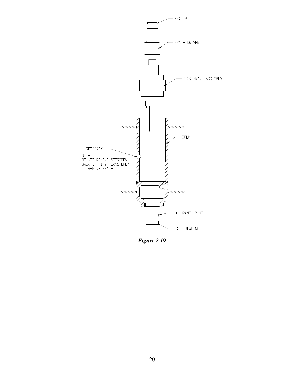

*Figure 2.19*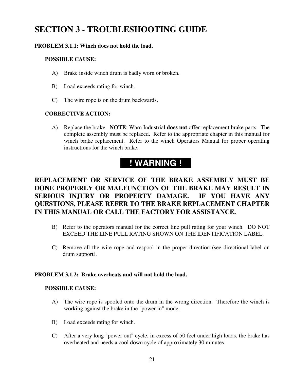# **SECTION 3 - TROUBLESHOOTING GUIDE**

#### **PROBLEM 3.1.1: Winch does not hold the load.**

#### **POSSIBLE CAUSE:**

- A) Brake inside winch drum is badly worn or broken.
- B) Load exceeds rating for winch.
- C) The wire rope is on the drum backwards.

#### **CORRECTIVE ACTION:**

A) Replace the brake. **NOTE**: Warn Industrial **does not** offer replacement brake parts. The complete assembly must be replaced. Refer to the appropriate chapter in this manual for winch brake replacement. Refer to the winch Operators Manual for proper operating instructions for the winch brake.

# **! WARNING !**

# **REPLACEMENT OR SERVICE OF THE BRAKE ASSEMBLY MUST BE DONE PROPERLY OR MALFUNCTION OF THE BRAKE MAY RESULT IN SERIOUS INJURY OR PROPERTY DAMAGE. IF YOU HAVE ANY QUESTIONS, PLEASE REFER TO THE BRAKE REPLACEMENT CHAPTER IN THIS MANUAL OR CALL THE FACTORY FOR ASSISTANCE.**

- B) Refer to the operators manual for the correct line pull rating for your winch. DO NOT EXCEED THE LINE PULL RATING SHOWN ON THE IDENTIFICATION LABEL.
- C) Remove all the wire rope and respool in the proper direction (see directional label on drum support).

#### **PROBLEM 3.1.2: Brake overheats and will not hold the load.**

#### **POSSIBLE CAUSE:**

- A) The wire rope is spooled onto the drum in the wrong direction. Therefore the winch is working against the brake in the "power in" mode.
- B) Load exceeds rating for winch.
- C) After a very long "power out" cycle, in excess of 50 feet under high loads, the brake has overheated and needs a cool down cycle of approximately 30 minutes.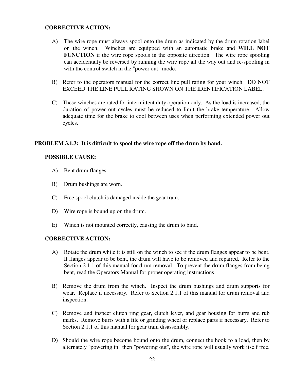#### **CORRECTIVE ACTION:**

- A) The wire rope must always spool onto the drum as indicated by the drum rotation label on the winch. Winches are equipped with an automatic brake and **WILL NOT FUNCTION** if the wire rope spools in the opposite direction. The wire rope spooling can accidentally be reversed by running the wire rope all the way out and re-spooling in with the control switch in the "power out" mode.
- B) Refer to the operators manual for the correct line pull rating for your winch. DO NOT EXCEED THE LINE PULL RATING SHOWN ON THE IDENTIFICATION LABEL.
- C) These winches are rated for intermittent duty operation only. As the load is increased, the duration of power out cycles must be reduced to limit the brake temperature. Allow adequate time for the brake to cool between uses when performing extended power out cycles.

#### **PROBLEM 3.1.3: It is difficult to spool the wire rope off the drum by hand.**

#### **POSSIBLE CAUSE:**

- A) Bent drum flanges.
- B) Drum bushings are worn.
- C) Free spool clutch is damaged inside the gear train.
- D) Wire rope is bound up on the drum.
- E) Winch is not mounted correctly, causing the drum to bind.

#### **CORRECTIVE ACTION:**

- A) Rotate the drum while it is still on the winch to see if the drum flanges appear to be bent. If flanges appear to be bent, the drum will have to be removed and repaired. Refer to the Section 2.1.1 of this manual for drum removal. To prevent the drum flanges from being bent, read the Operators Manual for proper operating instructions.
- B) Remove the drum from the winch. Inspect the drum bushings and drum supports for wear. Replace if necessary. Refer to Section 2.1.1 of this manual for drum removal and inspection.
- C) Remove and inspect clutch ring gear, clutch lever, and gear housing for burrs and rub marks. Remove burrs with a file or grinding wheel or replace parts if necessary. Refer to Section 2.1.1 of this manual for gear train disassembly.
- D) Should the wire rope become bound onto the drum, connect the hook to a load, then by alternately "powering in" then "powering out", the wire rope will usually work itself free.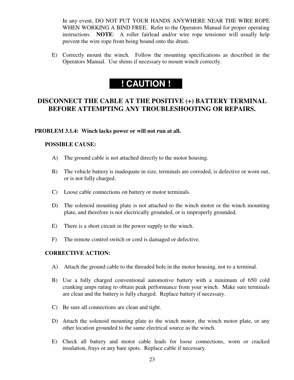In any event, DO NOT PUT YOUR HANDS ANYWHERE NEAR THE WIRE ROPE WHEN WORKING A BIND FREE. Refer to the Operators Manual for proper operating instructions. **NOTE**: A roller fairlead and/or wire rope tensioner will usually help prevent the wire rope from being bound onto the drum.

E) Correctly mount the winch. Follow the mounting specifications as described in the Operators Manual. Use shims if necessary to mount winch correctly.

# **! CAUTION !**

## **DISCONNECT THE CABLE AT THE POSITIVE (+) BATTERY TERMINAL BEFORE ATTEMPTING ANY TROUBLESHOOTING OR REPAIRS.**

#### **PROBLEM 3.1.4: Winch lacks power or will not run at all.**

#### **POSSIBLE CAUSE:**

- A) The ground cable is not attached directly to the motor housing.
- B) The vehicle battery is inadequate in size, terminals are corroded, is defective or worn out, or is not fully charged.
- C) Loose cable connections on battery or motor terminals.
- D) The solenoid mounting plate is not attached to the winch motor or the winch mounting plate, and therefore is not electrically grounded, or is improperly grounded.
- E) There is a short circuit in the power supply to the winch.
- F) The remote control switch or cord is damaged or defective.

#### **CORRECTIVE ACTION:**

- A) Attach the ground cable to the threaded hole in the motor housing, not to a terminal.
- B) Use a fully charged conventional automotive battery with a minimum of 650 cold cranking amps rating to obtain peak performance from your winch. Make sure terminals are clean and the battery is fully charged. Replace battery if necessary.
- C) Be sure all connections are clean and tight.
- D) Attach the solenoid mounting plate to the winch motor, the winch motor plate, or any other location grounded to the same electrical source as the winch.
- E) Check all battery and motor cable leads for loose connections, worn or cracked insulation, frays or any bare spots. Replace cable if necessary.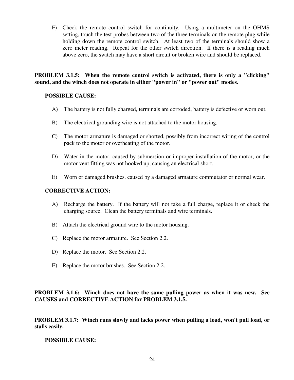F) Check the remote control switch for continuity. Using a multimeter on the OHMS setting, touch the test probes between two of the three terminals on the remote plug while holding down the remote control switch. At least two of the terminals should show a zero meter reading. Repeat for the other switch direction. If there is a reading much above zero, the switch may have a short circuit or broken wire and should be replaced.

**PROBLEM 3.1.5: When the remote control switch is activated, there is only a "clicking" sound, and the winch does not operate in either "power in" or "power out" modes.**

#### **POSSIBLE CAUSE:**

- A) The battery is not fully charged, terminals are corroded, battery is defective or worn out.
- B) The electrical grounding wire is not attached to the motor housing.
- C) The motor armature is damaged or shorted, possibly from incorrect wiring of the control pack to the motor or overheating of the motor.
- D) Water in the motor, caused by submersion or improper installation of the motor, or the motor vent fitting was not hooked up, causing an electrical short.
- E) Worn or damaged brushes, caused by a damaged armature commutator or normal wear.

#### **CORRECTIVE ACTION:**

- A) Recharge the battery. If the battery will not take a full charge, replace it or check the charging source. Clean the battery terminals and wire terminals.
- B) Attach the electrical ground wire to the motor housing.
- C) Replace the motor armature. See Section 2.2.
- D) Replace the motor. See Section 2.2.
- E) Replace the motor brushes. See Section 2.2.

**PROBLEM 3.1.6: Winch does not have the same pulling power as when it was new. See CAUSES and CORRECTIVE ACTION for PROBLEM 3.1.5.**

**PROBLEM 3.1.7: Winch runs slowly and lacks power when pulling a load, won't pull load, or stalls easily.**

**POSSIBLE CAUSE:**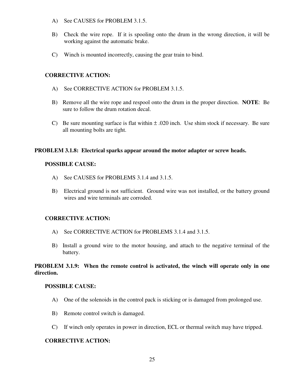- A) See CAUSES for PROBLEM 3.1.5.
- B) Check the wire rope. If it is spooling onto the drum in the wrong direction, it will be working against the automatic brake.
- C) Winch is mounted incorrectly, causing the gear train to bind.

#### **CORRECTIVE ACTION:**

- A) See CORRECTIVE ACTION for PROBLEM 3.1.5.
- B) Remove all the wire rope and respool onto the drum in the proper direction. **NOTE**: Be sure to follow the drum rotation decal.
- C) Be sure mounting surface is flat within  $\pm$  .020 inch. Use shim stock if necessary. Be sure all mounting bolts are tight.

#### **PROBLEM 3.1.8: Electrical sparks appear around the motor adapter or screw heads.**

#### **POSSIBLE CAUSE:**

- A) See CAUSES for PROBLEMS 3.1.4 and 3.1.5.
- B) Electrical ground is not sufficient. Ground wire was not installed, or the battery ground wires and wire terminals are corroded.

#### **CORRECTIVE ACTION:**

- A) See CORRECTIVE ACTION for PROBLEMS 3.1.4 and 3.1.5.
- B) Install a ground wire to the motor housing, and attach to the negative terminal of the battery.

#### **PROBLEM 3.1.9: When the remote control is activated, the winch will operate only in one direction.**

#### **POSSIBLE CAUSE:**

- A) One of the solenoids in the control pack is sticking or is damaged from prolonged use.
- B) Remote control switch is damaged.
- C) If winch only operates in power in direction, ECL or thermal switch may have tripped.

#### **CORRECTIVE ACTION:**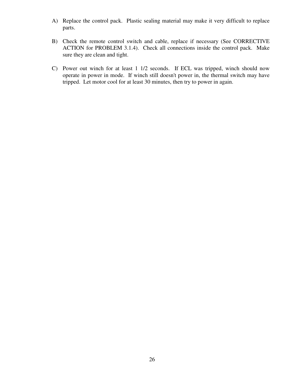- A) Replace the control pack. Plastic sealing material may make it very difficult to replace parts.
- B) Check the remote control switch and cable, replace if necessary (See CORRECTIVE ACTION for PROBLEM 3.1.4). Check all connections inside the control pack. Make sure they are clean and tight.
- C) Power out winch for at least 1 1/2 seconds. If ECL was tripped, winch should now operate in power in mode. If winch still doesn't power in, the thermal switch may have tripped. Let motor cool for at least 30 minutes, then try to power in again.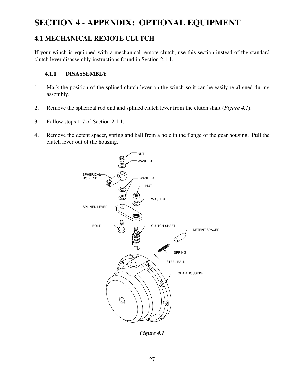# **SECTION 4 - APPENDIX: OPTIONAL EQUIPMENT**

## **4.1 MECHANICAL REMOTE CLUTCH**

If your winch is equipped with a mechanical remote clutch, use this section instead of the standard clutch lever disassembly instructions found in Section 2.1.1.

#### **4.1.1 DISASSEMBLY**

- 1. Mark the position of the splined clutch lever on the winch so it can be easily re-aligned during assembly.
- 2. Remove the spherical rod end and splined clutch lever from the clutch shaft (*Figure 4.1*).
- 3. Follow steps 1-7 of Section 2.1.1.
- 4. Remove the detent spacer, spring and ball from a hole in the flange of the gear housing. Pull the clutch lever out of the housing.



*Figure 4.1*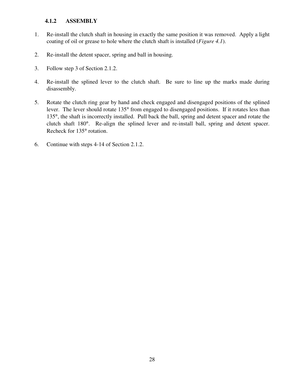#### **4.1.2 ASSEMBLY**

- 1. Re-install the clutch shaft in housing in exactly the same position it was removed. Apply a light coating of oil or grease to hole where the clutch shaft is installed (*Figure 4.1*).
- 2. Re-install the detent spacer, spring and ball in housing.
- 3. Follow step 3 of Section 2.1.2.
- 4. Re-install the splined lever to the clutch shaft. Be sure to line up the marks made during disassembly.
- 5. Rotate the clutch ring gear by hand and check engaged and disengaged positions of the splined lever. The lever should rotate 135° from engaged to disengaged positions. If it rotates less than 135°, the shaft is incorrectly installed. Pull back the ball, spring and detent spacer and rotate the clutch shaft 180°. Re-align the splined lever and re-install ball, spring and detent spacer. Recheck for 135° rotation.
- 6. Continue with steps 4-14 of Section 2.1.2.